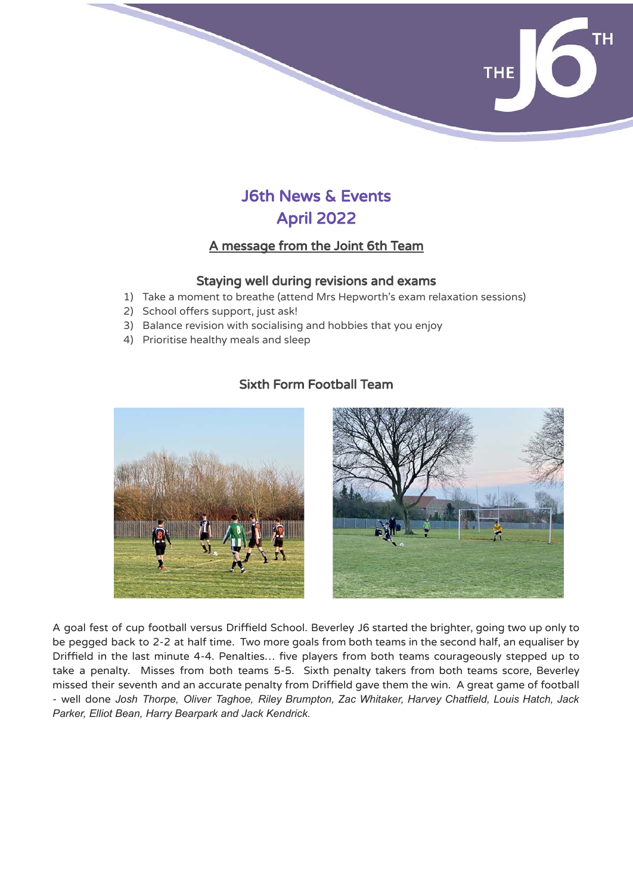

# J6th News & Events April 2022

# A message from the Joint 6th Team

#### Staying well during revisions and exams

- 1) Take a moment to breathe (attend Mrs Hepworth's exam relaxation sessions)
- 2) School offers support, just ask!
- 3) Balance revision with socialising and hobbies that you enjoy
- 4) Prioritise healthy meals and sleep

## Sixth Form Football Team



A goal fest of cup football versus Driffield School. Beverley J6 started the brighter, going two up only to be pegged back to 2-2 at half time. Two more goals from both teams in the second half, an equaliser by Driffield in the last minute 4-4. Penalties… five players from both teams courageously stepped up to take a penalty. Misses from both teams 5-5. Sixth penalty takers from both teams score, Beverley missed their seventh and an accurate penalty from Driffield gave them the win. A great game of football - well done *Josh Thorpe, Oliver Taghoe, Riley Brumpton, Zac Whitaker, Harvey Chatfield, Louis Hatch, Jack Parker, Elliot Bean, Harry Bearpark and Jack Kendrick.*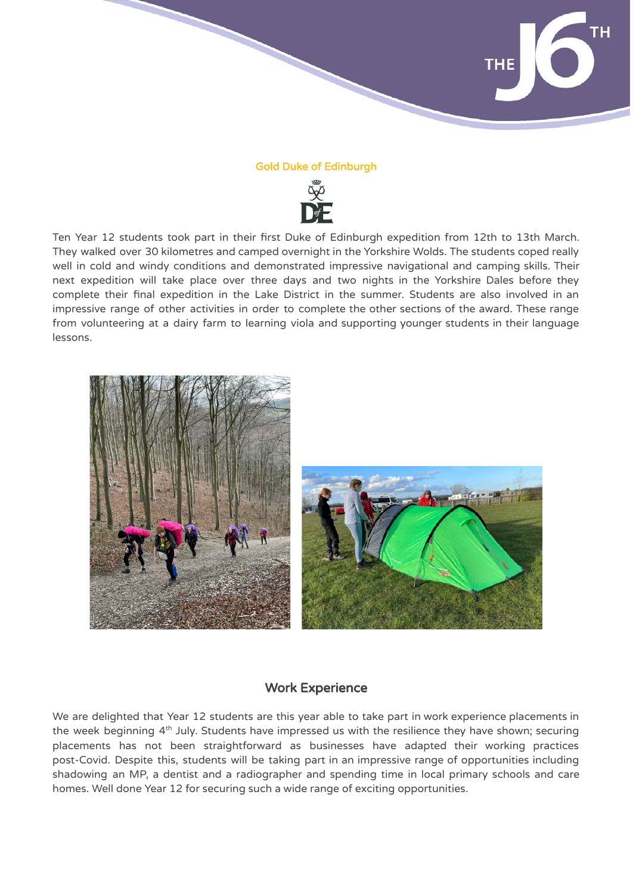

#### Gold Duke of Edinburgh



Ten Year 12 students took part in their first Duke of Edinburgh expedition from 12th to 13th March. They walked over 30 kilometres and camped overnight in the Yorkshire Wolds. The students coped really well in cold and windy conditions and demonstrated impressive navigational and camping skills. Their next expedition will take place over three days and two nights in the Yorkshire Dales before they complete their final expedition in the Lake District in the summer. Students are also involved in an impressive range of other activities in order to complete the other sections of the award. These range from volunteering at a dairy farm to learning viola and supporting younger students in their language lessons.



#### Work Experience

We are delighted that Year 12 students are this year able to take part in work experience placements in the week beginning  $4<sup>th</sup>$  July. Students have impressed us with the resilience they have shown; securing placements has not been straightforward as businesses have adapted their working practices post-Covid. Despite this, students will be taking part in an impressive range of opportunities including shadowing an MP, a dentist and a radiographer and spending time in local primary schools and care homes. Well done Year 12 for securing such a wide range of exciting opportunities.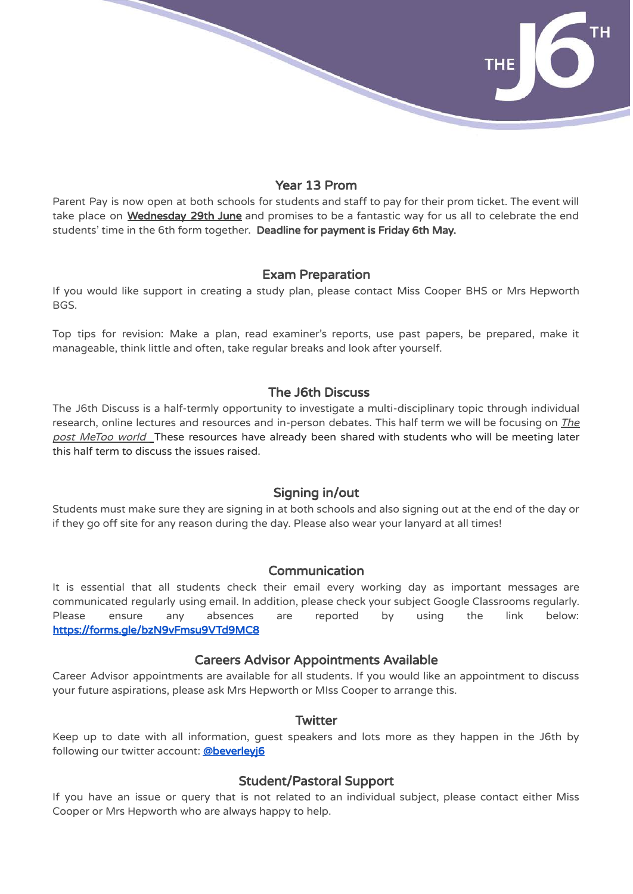#### Year 13 Prom

Parent Pay is now open at both schools for students and staff to pay for their prom ticket. The event will take place on Wednesday 29th June and promises to be a fantastic way for us all to celebrate the end students' time in the 6th form together. Deadline for payment is Friday 6th May.

#### Exam Preparation

If you would like support in creating a study plan, please contact Miss Cooper BHS or Mrs Hepworth BGS.

Top tips for revision: Make a plan, read examiner's reports, use past papers, be prepared, make it manageable, think little and often, take regular breaks and look after yourself.

#### The J6th Discuss

The J6th Discuss is a half-termly opportunity to investigate a multi-disciplinary topic through individual research, online lectures and resources and in-person debates. This half term we will be focusing on *The* post MeToo world These resources have already been shared with students who will be meeting later this half term to discuss the issues raised.

### Signing in/out

Students must make sure they are signing in at both schools and also signing out at the end of the day or if they go off site for any reason during the day. Please also wear your lanyard at all times!

#### Communication

It is essential that all students check their email every working day as important messages are communicated regularly using email. In addition, please check your subject Google Classrooms regularly. Please ensure any absences are reported by using the link below: <https://forms.gle/bzN9vFmsu9VTd9MC8>

#### Careers Advisor Appointments Available

Career Advisor appointments are available for all students. If you would like an appointment to discuss your future aspirations, please ask Mrs Hepworth or MIss Cooper to arrange this.

#### **Twitter**

Keep up to date with all information, guest speakers and lots more as they happen in the J6th by following our twitter account: @beverlevi6

### Student/Pastoral Support

If you have an issue or query that is not related to an individual subject, please contact either Miss Cooper or Mrs Hepworth who are always happy to help.